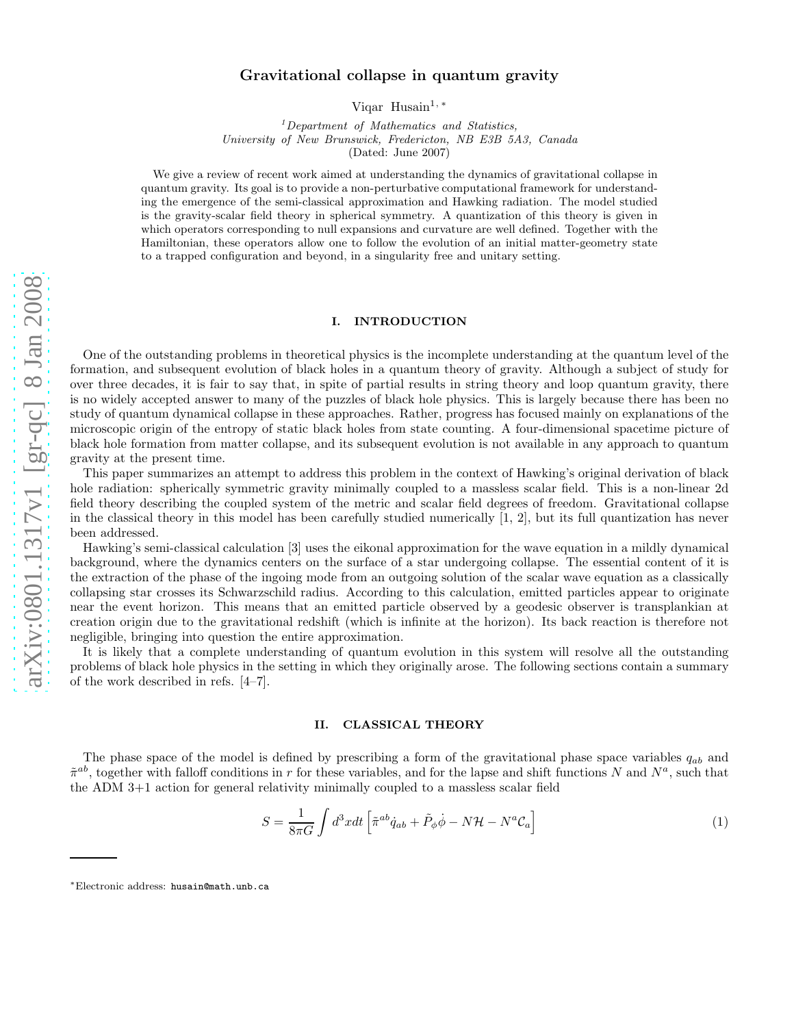# arXiv:0801.1317v1 [gr-qc] 8 Jan 2008 [arXiv:0801.1317v1 \[gr-qc\] 8 Jan 2008](http://arxiv.org/abs/0801.1317v1)

# Gravitational collapse in quantum gravity

Viqar Husain<sup>1,\*</sup>

 $<sup>1</sup> Department of Mathematics and Statistics,$ </sup> University of New Brunswick, Fredericton, NB E3B 5A3, Canada (Dated: June 2007)

We give a review of recent work aimed at understanding the dynamics of gravitational collapse in quantum gravity. Its goal is to provide a non-perturbative computational framework for understanding the emergence of the semi-classical approximation and Hawking radiation. The model studied is the gravity-scalar field theory in spherical symmetry. A quantization of this theory is given in which operators corresponding to null expansions and curvature are well defined. Together with the Hamiltonian, these operators allow one to follow the evolution of an initial matter-geometry state to a trapped configuration and beyond, in a singularity free and unitary setting.

## I. INTRODUCTION

One of the outstanding problems in theoretical physics is the incomplete understanding at the quantum level of the formation, and subsequent evolution of black holes in a quantum theory of gravity. Although a subject of study for over three decades, it is fair to say that, in spite of partial results in string theory and loop quantum gravity, there is no widely accepted answer to many of the puzzles of black hole physics. This is largely because there has been no study of quantum dynamical collapse in these approaches. Rather, progress has focused mainly on explanations of the microscopic origin of the entropy of static black holes from state counting. A four-dimensional spacetime picture of black hole formation from matter collapse, and its subsequent evolution is not available in any approach to quantum gravity at the present time.

This paper summarizes an attempt to address this problem in the context of Hawking's original derivation of black hole radiation: spherically symmetric gravity minimally coupled to a massless scalar field. This is a non-linear 2d field theory describing the coupled system of the metric and scalar field degrees of freedom. Gravitational collapse in the classical theory in this model has been carefully studied numerically [1, 2], but its full quantization has never been addressed.

Hawking's semi-classical calculation [3] uses the eikonal approximation for the wave equation in a mildly dynamical background, where the dynamics centers on the surface of a star undergoing collapse. The essential content of it is the extraction of the phase of the ingoing mode from an outgoing solution of the scalar wave equation as a classically collapsing star crosses its Schwarzschild radius. According to this calculation, emitted particles appear to originate near the event horizon. This means that an emitted particle observed by a geodesic observer is transplankian at creation origin due to the gravitational redshift (which is infinite at the horizon). Its back reaction is therefore not negligible, bringing into question the entire approximation.

It is likely that a complete understanding of quantum evolution in this system will resolve all the outstanding problems of black hole physics in the setting in which they originally arose. The following sections contain a summary of the work described in refs. [4–7].

### II. CLASSICAL THEORY

The phase space of the model is defined by prescribing a form of the gravitational phase space variables  $q_{ab}$  and  $\tilde{\pi}^{ab}$ , together with falloff conditions in r for these variables, and for the lapse and shift functions N and  $N^a$ , such that the ADM 3+1 action for general relativity minimally coupled to a massless scalar field

$$
S = \frac{1}{8\pi G} \int d^3x dt \left[ \tilde{\pi}^{ab} \dot{q}_{ab} + \tilde{P}_{\phi} \dot{\phi} - N \mathcal{H} - N^a \mathcal{C}_a \right]
$$
 (1)

<sup>∗</sup>Electronic address: husain@math.unb.ca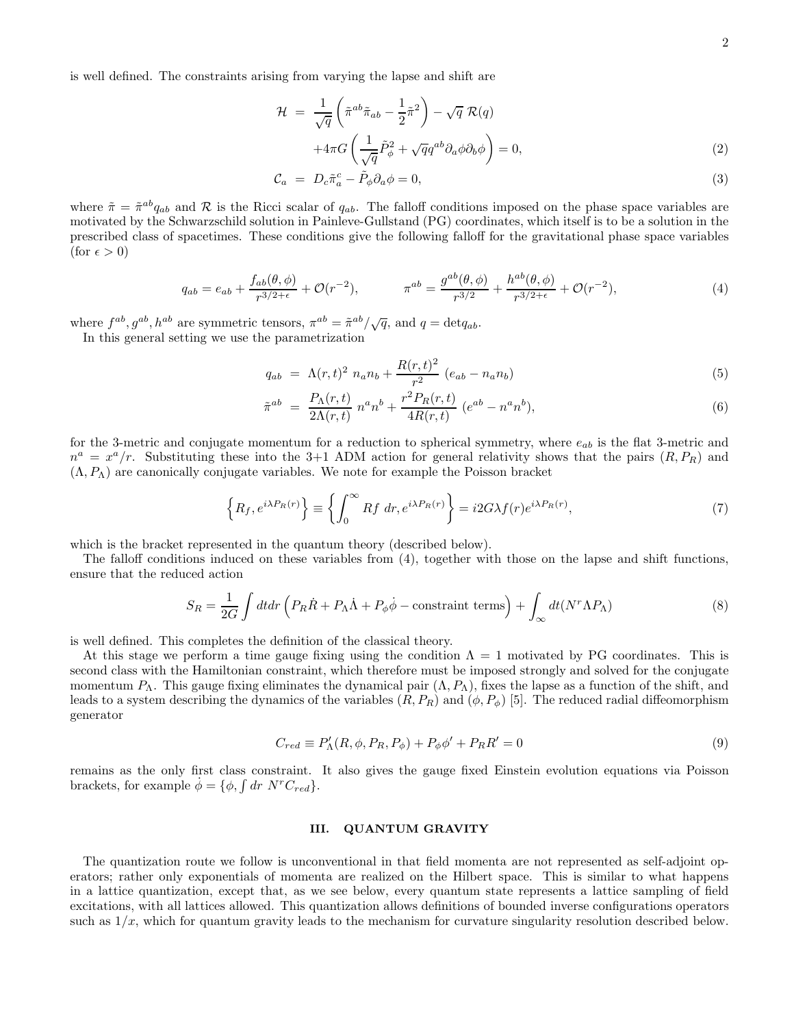$$
\mathcal{H} = \frac{1}{\sqrt{q}} \left( \tilde{\pi}^{ab} \tilde{\pi}_{ab} - \frac{1}{2} \tilde{\pi}^2 \right) - \sqrt{q} \ \mathcal{R}(q) \n+4\pi G \left( \frac{1}{\sqrt{q}} \tilde{P}_{\phi}^2 + \sqrt{q} q^{ab} \partial_a \phi \partial_b \phi \right) = 0,
$$
\n(2)

$$
\mathcal{C}_a = D_c \tilde{\pi}_a^c - \tilde{P}_{\phi} \partial_a \phi = 0, \tag{3}
$$

where  $\tilde{\pi} = \tilde{\pi}^{ab} q_{ab}$  and  $\mathcal R$  is the Ricci scalar of  $q_{ab}$ . The falloff conditions imposed on the phase space variables are motivated by the Schwarzschild solution in Painleve-Gullstand (PG) coordinates, which itself is to be a solution in the prescribed class of spacetimes. These conditions give the following falloff for the gravitational phase space variables (for  $\epsilon > 0$ )

$$
q_{ab} = e_{ab} + \frac{f_{ab}(\theta, \phi)}{r^{3/2 + \epsilon}} + \mathcal{O}(r^{-2}), \qquad \pi^{ab} = \frac{g^{ab}(\theta, \phi)}{r^{3/2}} + \frac{h^{ab}(\theta, \phi)}{r^{3/2 + \epsilon}} + \mathcal{O}(r^{-2}), \tag{4}
$$

where  $f^{ab}, g^{ab}, h^{ab}$  are symmetric tensors,  $\pi^{ab} = \tilde{\pi}^{ab}/\sqrt{q}$ , and  $q = \det q_{ab}$ .

In this general setting we use the parametrization

$$
q_{ab} = \Lambda(r,t)^2 \ n_a n_b + \frac{R(r,t)^2}{r^2} \ (e_{ab} - n_a n_b) \tag{5}
$$

$$
\tilde{\pi}^{ab} = \frac{P_{\Lambda}(r,t)}{2\Lambda(r,t)} n^a n^b + \frac{r^2 P_R(r,t)}{4R(r,t)} (e^{ab} - n^a n^b),
$$
\n(6)

for the 3-metric and conjugate momentum for a reduction to spherical symmetry, where  $e_{ab}$  is the flat 3-metric and  $n^a = x^a/r$ . Substituting these into the 3+1 ADM action for general relativity shows that the pairs  $(R, P_R)$  and  $(\Lambda, P_{\Lambda})$  are canonically conjugate variables. We note for example the Poisson bracket

$$
\left\{ R_f, e^{i\lambda P_R(r)} \right\} \equiv \left\{ \int_0^\infty Rf \, dr, e^{i\lambda P_R(r)} \right\} = i2G\lambda f(r)e^{i\lambda P_R(r)},\tag{7}
$$

which is the bracket represented in the quantum theory (described below).

The falloff conditions induced on these variables from (4), together with those on the lapse and shift functions, ensure that the reduced action

$$
S_R = \frac{1}{2G} \int dt dr \left( P_R \dot{R} + P_\Lambda \dot{\Lambda} + P_\phi \dot{\phi} - \text{constraint terms} \right) + \int_{\infty} dt (N^r \Lambda P_\Lambda) \tag{8}
$$

is well defined. This completes the definition of the classical theory.

At this stage we perform a time gauge fixing using the condition  $\Lambda = 1$  motivated by PG coordinates. This is second class with the Hamiltonian constraint, which therefore must be imposed strongly and solved for the conjugate momentum  $P_{\Lambda}$ . This gauge fixing eliminates the dynamical pair  $(\Lambda, P_{\Lambda})$ , fixes the lapse as a function of the shift, and leads to a system describing the dynamics of the variables  $(R, P_R)$  and  $(\phi, P_{\phi})$  [5]. The reduced radial diffeomorphism generator

$$
C_{red} \equiv P_{\Lambda}'(R,\phi,P_R,P_{\phi}) + P_{\phi}\phi' + P_R R' = 0
$$
\n
$$
(9)
$$

remains as the only first class constraint. It also gives the gauge fixed Einstein evolution equations via Poisson brackets, for example  $\dot{\phi} = {\phi, \int dr \ N^r C_{red}}.$ 

# III. QUANTUM GRAVITY

The quantization route we follow is unconventional in that field momenta are not represented as self-adjoint operators; rather only exponentials of momenta are realized on the Hilbert space. This is similar to what happens in a lattice quantization, except that, as we see below, every quantum state represents a lattice sampling of field excitations, with all lattices allowed. This quantization allows definitions of bounded inverse configurations operators such as  $1/x$ , which for quantum gravity leads to the mechanism for curvature singularity resolution described below.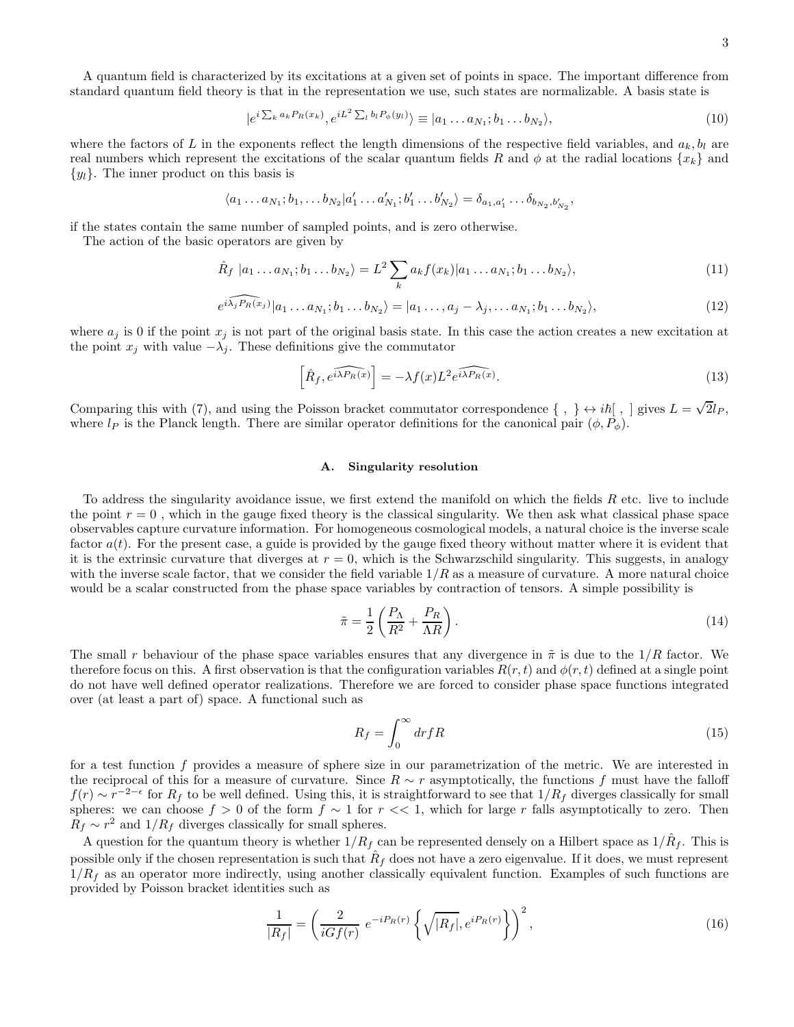A quantum field is characterized by its excitations at a given set of points in space. The important difference from standard quantum field theory is that in the representation we use, such states are normalizable. A basis state is

$$
|e^{i\sum_{k}a_{k}P_{R}(x_{k})},e^{iL^{2}\sum_{l}b_{l}P_{\phi}(y_{l})}\rangle \equiv |a_{1}\dots a_{N_{1}};b_{1}\dots b_{N_{2}}\rangle, \qquad (10)
$$

where the factors of L in the exponents reflect the length dimensions of the respective field variables, and  $a_k, b_l$  are real numbers which represent the excitations of the scalar quantum fields R and  $\phi$  at the radial locations  $\{x_k\}$  and  ${y_l}$ . The inner product on this basis is

$$
\langle a_1 \dots a_{N_1}; b_1, \dots b_{N_2} | a'_1 \dots a'_{N_1}; b'_1 \dots b'_{N_2} \rangle = \delta_{a_1, a'_1} \dots \delta_{b_{N_2}, b'_{N_2}},
$$

if the states contain the same number of sampled points, and is zero otherwise.

The action of the basic operators are given by

$$
\hat{R}_f | a_1 \dots a_{N_1}; b_1 \dots b_{N_2} \rangle = L^2 \sum_k a_k f(x_k) | a_1 \dots a_{N_1}; b_1 \dots b_{N_2} \rangle,
$$
\n(11)

$$
\widehat{e^{i\lambda_j P_R(x_j)}}|a_1 \dots a_{N_1}; b_1 \dots b_{N_2}\rangle = |a_1 \dots, a_j - \lambda_j, \dots a_{N_1}; b_1 \dots b_{N_2}\rangle, \tag{12}
$$

where  $a_j$  is 0 if the point  $x_j$  is not part of the original basis state. In this case the action creates a new excitation at the point  $x_j$  with value  $-\lambda_j$ . These definitions give the commutator

$$
\left[\hat{R}_f, e^{i\lambda P_R(x)}\right] = -\lambda f(x)L^2 e^{i\lambda P_R(x)}.
$$
\n(13)

Comparing this with (7), and using the Poisson bracket commutator correspondence  $\{\ ,\ \} \leftrightarrow i\hbar[\ ,\ ]$  gives  $L = \sqrt{2}l_P$ , where  $l_P$  is the Planck length. There are similar operator definitions for the canonical pair  $(\phi, P_\phi)$ .

### A. Singularity resolution

To address the singularity avoidance issue, we first extend the manifold on which the fields  $R$  etc. live to include the point  $r = 0$ , which in the gauge fixed theory is the classical singularity. We then ask what classical phase space observables capture curvature information. For homogeneous cosmological models, a natural choice is the inverse scale factor  $a(t)$ . For the present case, a guide is provided by the gauge fixed theory without matter where it is evident that it is the extrinsic curvature that diverges at  $r = 0$ , which is the Schwarzschild singularity. This suggests, in analogy with the inverse scale factor, that we consider the field variable  $1/R$  as a measure of curvature. A more natural choice would be a scalar constructed from the phase space variables by contraction of tensors. A simple possibility is

$$
\tilde{\pi} = \frac{1}{2} \left( \frac{P_{\Lambda}}{R^2} + \frac{P_R}{\Lambda R} \right). \tag{14}
$$

The small r behaviour of the phase space variables ensures that any divergence in  $\tilde{\pi}$  is due to the  $1/R$  factor. We therefore focus on this. A first observation is that the configuration variables  $R(r, t)$  and  $\phi(r, t)$  defined at a single point do not have well defined operator realizations. Therefore we are forced to consider phase space functions integrated over (at least a part of) space. A functional such as

$$
R_f = \int_0^\infty dr f R \tag{15}
$$

for a test function f provides a measure of sphere size in our parametrization of the metric. We are interested in the reciprocal of this for a measure of curvature. Since  $R \sim r$  asymptotically, the functions f must have the falloff  $f(r) \sim r^{-2-\epsilon}$  for  $R_f$  to be well defined. Using this, it is straightforward to see that  $1/R_f$  diverges classically for small spheres: we can choose  $f > 0$  of the form  $f \sim 1$  for  $r \ll 1$ , which for large r falls asymptotically to zero. Then  $R_f \sim r^2$  and  $1/R_f$  diverges classically for small spheres.

A question for the quantum theory is whether  $1/R_f$  can be represented densely on a Hilbert space as  $1/\hat{R}_f$ . This is possible only if the chosen representation is such that  $\hat{R}_f$  does not have a zero eigenvalue. If it does, we must represent  $1/R_f$  as an operator more indirectly, using another classically equivalent function. Examples of such functions are provided by Poisson bracket identities such as

$$
\frac{1}{|R_f|} = \left(\frac{2}{iGf(r)} e^{-iP_R(r)} \left\{ \sqrt{|R_f|}, e^{iP_R(r)} \right\} \right)^2,
$$
\n(16)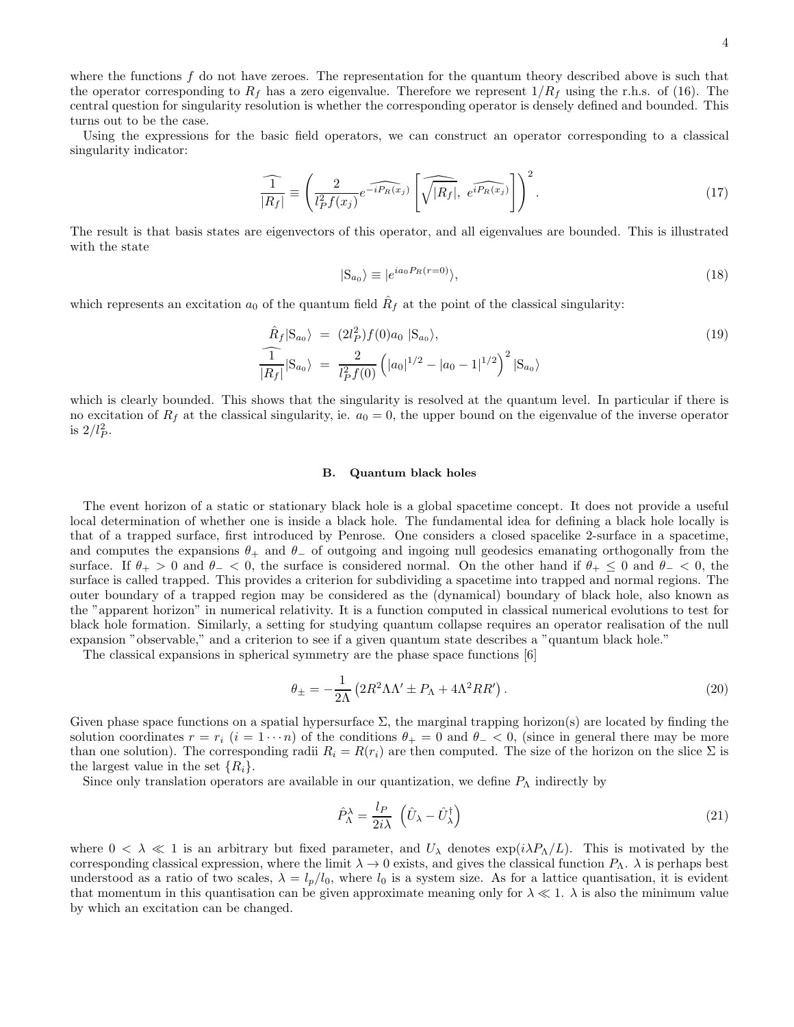where the functions  $f$  do not have zeroes. The representation for the quantum theory described above is such that the operator corresponding to  $R_f$  has a zero eigenvalue. Therefore we represent  $1/R_f$  using the r.h.s. of (16). The central question for singularity resolution is whether the corresponding operator is densely defined and bounded. This turns out to be the case.

Using the expressions for the basic field operators, we can construct an operator corresponding to a classical singularity indicator:

$$
\widehat{\frac{1}{|R_f|}} \equiv \left(\frac{2}{l_P^2 f(x_j)} e^{-i P_R(x_j)} \left[\widehat{\sqrt{|R_f|}}, e^{i P_R(x_j)}\right]\right)^2.
$$
\n(17)

The result is that basis states are eigenvectors of this operator, and all eigenvalues are bounded. This is illustrated with the state

$$
|S_{a_0}\rangle \equiv |e^{ia_0P_R(r=0)}\rangle,\tag{18}
$$

which represents an excitation  $a_0$  of the quantum field  $\hat{R}_f$  at the point of the classical singularity:

$$
\hat{R}_f | S_{a_0} \rangle = (2l_P^2) f(0) a_0 | S_{a_0} \rangle, \n\hat{1} |\overline{R}_f | S_{a_0} \rangle = \frac{2}{l_P^2 f(0)} \left( |a_0|^{1/2} - |a_0 - 1|^{1/2} \right)^2 | S_{a_0} \rangle
$$
\n(19)

which is clearly bounded. This shows that the singularity is resolved at the quantum level. In particular if there is no excitation of  $R_f$  at the classical singularity, ie.  $a_0 = 0$ , the upper bound on the eigenvalue of the inverse operator is  $2/l_P^2$ .

### B. Quantum black holes

The event horizon of a static or stationary black hole is a global spacetime concept. It does not provide a useful local determination of whether one is inside a black hole. The fundamental idea for defining a black hole locally is that of a trapped surface, first introduced by Penrose. One considers a closed spacelike 2-surface in a spacetime, and computes the expansions  $\theta_+$  and  $\theta_-$  of outgoing and ingoing null geodesics emanating orthogonally from the surface. If  $\theta_+ > 0$  and  $\theta_- < 0$ , the surface is considered normal. On the other hand if  $\theta_+ \leq 0$  and  $\theta_- < 0$ , the surface is called trapped. This provides a criterion for subdividing a spacetime into trapped and normal regions. The outer boundary of a trapped region may be considered as the (dynamical) boundary of black hole, also known as the "apparent horizon" in numerical relativity. It is a function computed in classical numerical evolutions to test for black hole formation. Similarly, a setting for studying quantum collapse requires an operator realisation of the null expansion "observable," and a criterion to see if a given quantum state describes a "quantum black hole."

The classical expansions in spherical symmetry are the phase space functions [6]

$$
\theta_{\pm} = -\frac{1}{2\Lambda} \left( 2R^2 \Lambda \Lambda' \pm P_{\Lambda} + 4\Lambda^2 RR' \right). \tag{20}
$$

Given phase space functions on a spatial hypersurface  $\Sigma$ , the marginal trapping horizon(s) are located by finding the solution coordinates  $r = r_i$   $(i = 1 \cdots n)$  of the conditions  $\theta_+ = 0$  and  $\theta_- < 0$ , (since in general there may be more than one solution). The corresponding radii  $R_i = R(r_i)$  are then computed. The size of the horizon on the slice  $\Sigma$  is the largest value in the set  $\{R_i\}.$ 

Since only translation operators are available in our quantization, we define  $P_{\Lambda}$  indirectly by

$$
\hat{P}_{\Lambda}^{\lambda} = \frac{l_P}{2i\lambda} \left( \hat{U}_{\lambda} - \hat{U}_{\lambda}^{\dagger} \right)
$$
\n(21)

where  $0 < \lambda \ll 1$  is an arbitrary but fixed parameter, and  $U_{\lambda}$  denotes  $\exp(i\lambda P_{\Lambda}/L)$ . This is motivated by the corresponding classical expression, where the limit  $\lambda \to 0$  exists, and gives the classical function  $P_\Lambda$ .  $\lambda$  is perhaps best understood as a ratio of two scales,  $\lambda = l_p/l_0$ , where  $l_0$  is a system size. As for a lattice quantisation, it is evident that momentum in this quantisation can be given approximate meaning only for  $\lambda \ll 1$ .  $\lambda$  is also the minimum value by which an excitation can be changed.